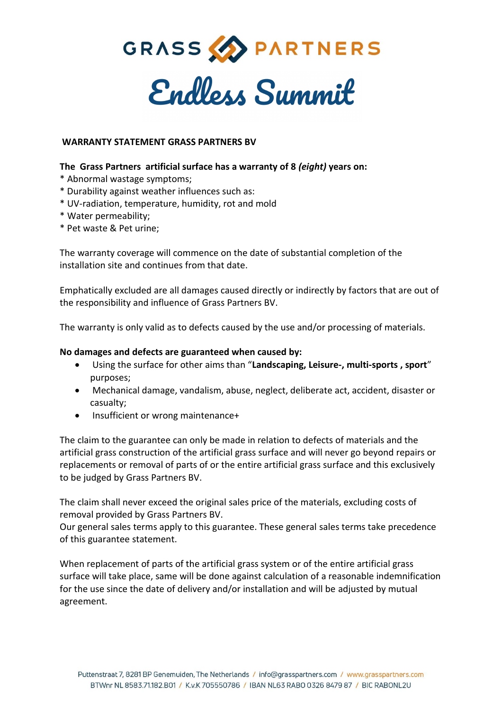

## **WARRANTY STATEMENT GRASS PARTNERS BV**

## **The Grass Partners artificial surface has a warranty of 8** *(eight)* **years on:**

- \* Abnormal wastage symptoms;
- \* Durability against weather influences such as:
- \* UV-radiation, temperature, humidity, rot and mold
- \* Water permeability;
- \* Pet waste & Pet urine;

The warranty coverage will commence on the date of substantial completion of the installation site and continues from that date.

Emphatically excluded are all damages caused directly or indirectly by factors that are out of the responsibility and influence of Grass Partners BV.

The warranty is only valid as to defects caused by the use and/or processing of materials.

## **No damages and defects are guaranteed when caused by:**

- Using the surface for other aims than "**Landscaping, Leisure-, multi-sports , sport**" purposes;
- Mechanical damage, vandalism, abuse, neglect, deliberate act, accident, disaster or casualty;
- Insufficient or wrong maintenance+

The claim to the guarantee can only be made in relation to defects of materials and the artificial grass construction of the artificial grass surface and will never go beyond repairs or replacements or removal of parts of or the entire artificial grass surface and this exclusively to be judged by Grass Partners BV.

The claim shall never exceed the original sales price of the materials, excluding costs of removal provided by Grass Partners BV.

Our general sales terms apply to this guarantee. These general sales terms take precedence of this guarantee statement.

When replacement of parts of the artificial grass system or of the entire artificial grass surface will take place, same will be done against calculation of a reasonable indemnification for the use since the date of delivery and/or installation and will be adjusted by mutual agreement.